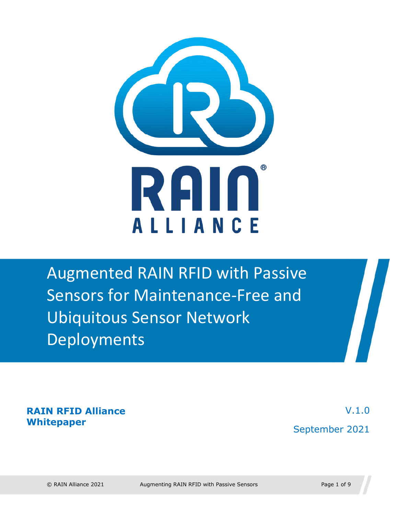

Augmented RAIN RFID with Passive Sensors for Maintenance-Free and Ubiquitous Sensor Network Deployments

**RAIN RFID Alliance Whitepaper** 

V.1.0 September 2021

 $\sqrt{2}$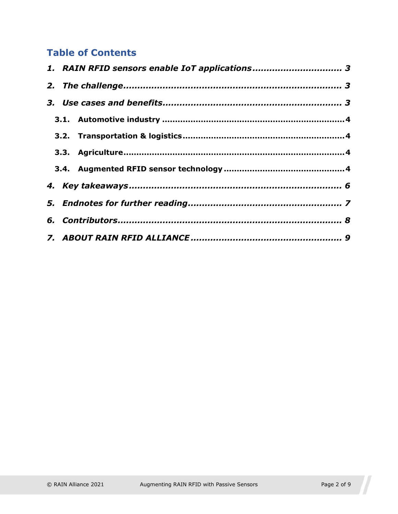#### **Table of Contents**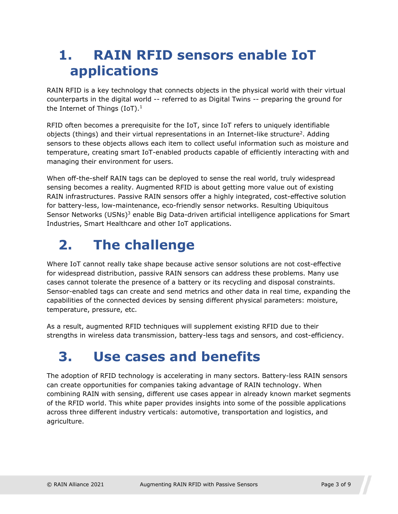### <span id="page-2-1"></span><span id="page-2-0"></span>**1. RAIN RFID sensors enable IoT applications**

RAIN RFID is a key technology that connects objects in the physical world with their virtual counterparts in the digital w[or](#page-8-1)ld -- referred to as Digital Twins -- preparing the ground for the Internet of Things  $(IoT).<sup>1</sup>$ 

[RFID often becomes a prerequisite for the IoT, since IoT refers to uniquely identifiable](#page-8-2)  objects (things) and their virtual representations in an Internet-like structure<sup>2</sup>. Adding sensors to these objects allows each item to collect useful information such as moisture and temperature, creating smart IoT-enabled products capable of efficiently interacting with and managing their environment for users.

When off-the-shelf RAIN tags can be deployed to sense the real world, truly widespread sensing becomes a reality. Augmented RFID is about getting more value out of existing RAIN infrastructures. Passive RAIN sensors offer a highly integrated, cost-effective solution [for battery-less, low-maintenance, eco-friendly sensor networks. Resulting Ubiquitous](#page-8-3)  Sensor Networks (USNs)<sup>3</sup> enable Big Data-driven artificial intelligence applications for Smart Industries, Smart Healthcare and other IoT applications.

# <span id="page-2-2"></span>**2. The challenge**

Where IoT cannot really take shape because active sensor solutions are not cost-effective for widespread distribution, passive RAIN sensors can address these problems. Many use cases cannot tolerate the presence of a battery or its recycling and disposal constraints. Sensor-enabled tags can create and send metrics and other data in real time, expanding the capabilities of the connected devices by sensing different physical parameters: moisture, temperature, pressure, etc.

As a result, augmented RFID techniques will supplement existing RFID due to their strengths in wireless data transmission, battery-less tags and sensors, and cost-efficiency.

### <span id="page-2-3"></span>**3. Use cases and benefits**

The adoption of RFID technology is accelerating in many sectors. Battery-less RAIN sensors can create opportunities for companies taking advantage of RAIN technology. When combining RAIN with sensing, different use cases appear in already known market segments of the RFID world. This white paper provides insights into some of the possible applications across three different industry verticals: automotive, transportation and logistics, and agriculture.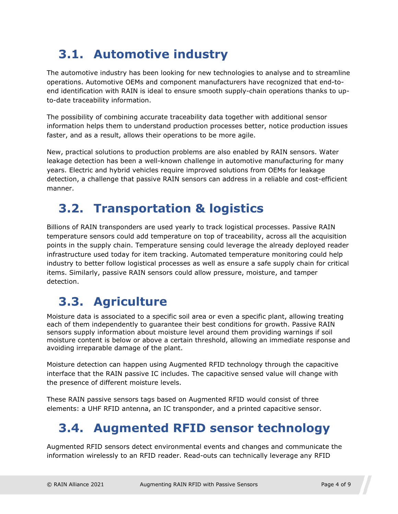### <span id="page-3-0"></span>**3.1. Automotive industry**

The automotive industry has been looking for new technologies to analyse and to streamline operations. Automotive OEMs and component manufacturers have recognized that end-toend identification with RAIN is ideal to ensure smooth supply-chain operations thanks to upto-date traceability information.

The possibility of combining accurate traceability data together with additional sensor information helps them to understand production processes better, notice production issues faster, and as a result, allows their operations to be more agile.

New, practical solutions to production problems are also enabled by RAIN sensors. Water leakage detection has been a well-known challenge in automotive manufacturing for many years. Electric and hybrid vehicles require improved solutions from OEMs for leakage detection, a challenge that passive RAIN sensors can address in a reliable and cost-efficient manner.

#### <span id="page-3-1"></span>**3.2. Transportation & logistics**

Billions of RAIN transponders are used yearly to track logistical processes. Passive RAIN temperature sensors could add temperature on top of traceability, across all the acquisition points in the supply chain. Temperature sensing could leverage the already deployed reader infrastructure used today for item tracking. Automated temperature monitoring could help industry to better follow logistical processes as well as ensure a safe supply chain for critical items. Similarly, passive RAIN sensors could allow pressure, moisture, and tamper detection.

### <span id="page-3-2"></span>**3.3. Agriculture**

Moisture data is associated to a specific soil area or even a specific plant, allowing treating each of them independently to guarantee their best conditions for growth. Passive RAIN sensors supply information about moisture level around them providing warnings if soil moisture content is below or above a certain threshold, allowing an immediate response and avoiding irreparable damage of the plant.

Moisture detection can happen using Augmented RFID technology through the capacitive interface that the RAIN passive IC includes. The capacitive sensed value will change with the presence of different moisture levels.

These RAIN passive sensors tags based on Augmented RFID would consist of three elements: a UHF RFID antenna, an IC transponder, and a printed capacitive sensor.

### <span id="page-3-3"></span>**3.4. Augmented RFID sensor technology**

Augmented RFID sensors detect environmental events and changes and communicate the information wirelessly to an RFID reader. Read-outs can technically leverage any RFID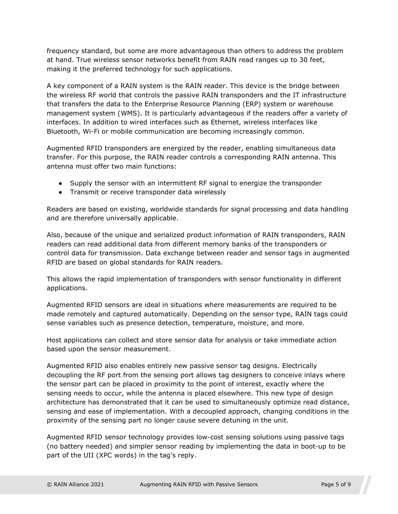frequency standard, but some are more advantageous than others to address the problem at hand. True wireless sensor networks benefit from RAIN read ranges up to 30 feet, making it the preferred technology for such applications.

A key component of a RAIN system is the RAIN reader. This device is the bridge between the wireless RF world that controls the passive RAIN transponders and the IT infrastructure that transfers the data to the Enterprise Resource Planning (ERP) system or warehouse management system (WMS). It is particularly advantageous if the readers offer a variety of interfaces. In addition to wired interfaces such as Ethernet, wireless interfaces like Bluetooth, Wi-Fi or mobile communication are becoming increasingly common.

Augmented RFID transponders are energized by the reader, enabling simultaneous data transfer. For this purpose, the RAIN reader controls a corresponding RAIN antenna. This antenna must offer two main functions:

- Supply the sensor with an intermittent RF signal to energize the transponder
- Transmit or receive transponder data wirelessly

Readers are based on existing, worldwide standards for signal processing and data handling and are therefore universally applicable.

Also, because of the unique and serialized product information of RAIN transponders, RAIN readers can read additional data from different memory banks of the transponders or control data for transmission. Data exchange between reader and sensor tags in augmented RFID are based on global standards for RAIN readers.

This allows the rapid implementation of transponders with sensor functionality in different applications.

Augmented RFID sensors are ideal in situations where measurements are required to be made remotely and captured automatically. Depending on the sensor type, RAIN tags could sense variables such as presence detection, temperature, moisture, and more.

Host applications can collect and store sensor data for analysis or take immediate action based upon the sensor measurement.

Augmented RFID also enables entirely new passive sensor tag designs. Electrically decoupling the RF port from the sensing port allows tag designers to conceive inlays where the sensor part can be placed in proximity to the point of interest, exactly where the sensing needs to occur, while the antenna is placed elsewhere. This new type of design architecture has demonstrated that it can be used to simultaneously optimize read distance, sensing and ease of implementation. With a decoupled approach, changing conditions in the proximity of the sensing part no longer cause severe detuning in the unit.

Augmented RFID sensor technology provides low-cost sensing solutions using passive tags (no battery needed) and simpler sensor reading by implementing the data in boot-up to be part of the UII (XPC words) in the tag's reply.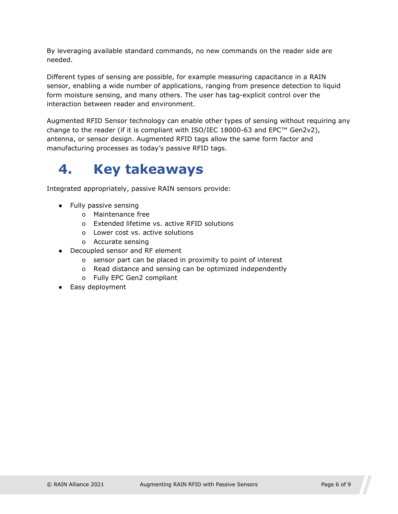By leveraging available standard commands, no new commands on the reader side are needed.

Different types of sensing are possible, for example measuring capacitance in a RAIN sensor, enabling a wide number of applications, ranging from presence detection to liquid form moisture sensing, and many others. The user has tag-explicit control over the interaction between reader and environment.

Augmented RFID Sensor technology can enable other types of sensing without requiring any change to the reader (if it is compliant with ISO/IEC 18000-63 and EPC™ Gen2v2), antenna, or sensor design. Augmented RFID tags allow the same form factor and manufacturing processes as today's passive RFID tags.

## <span id="page-5-1"></span><span id="page-5-0"></span>**4. Key takeaways**

Integrated appropriately, passive RAIN sensors provide:

- Fully passive sensing
	- o Maintenance free
	- o Extended lifetime vs. active RFID solutions
	- o Lower cost vs. active solutions
	- o Accurate sensing
- Decoupled sensor and RF element
	- o sensor part can be placed in proximity to point of interest
	- o Read distance and sensing can be optimized independently
	- o Fully EPC Gen2 compliant
- Easy deployment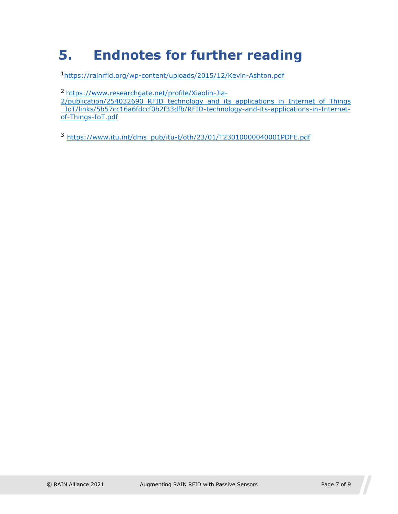# <span id="page-6-0"></span>**5. Endnotes for further reading**

<sup>1</sup><https://rainrfid.org/wp-content/uploads/2015/12/Kevin-Ashton.pdf>

[2](https://www.researchgate.net/profile/Xiaolin-Jia-2/publication/254032690_RFID_technology_and_its_applications_in_Internet_of_Things_IoT/links/5b57cc16a6fdccf0b2f33dfb/RFID-technology-and-its-applications-in-Internet-of-Things-IoT.pdf) [https://www.researchgate.net/profile/Xiaolin-Jia-](https://www.researchgate.net/profile/Xiaolin-Jia-2/publication/254032690_RFID_technology_and_its_applications_in_Internet_of_Things_IoT/links/5b57cc16a6fdccf0b2f33dfb/RFID-technology-and-its-applications-in-Internet-of-Things-IoT.pdf)

[2/publication/254032690\\_RFID\\_technology\\_and\\_its\\_applications\\_in\\_Internet\\_of\\_Things](https://www.researchgate.net/profile/Xiaolin-Jia-2/publication/254032690_RFID_technology_and_its_applications_in_Internet_of_Things_IoT/links/5b57cc16a6fdccf0b2f33dfb/RFID-technology-and-its-applications-in-Internet-of-Things-IoT.pdf) [\\_IoT/links/5b57cc](https://www.researchgate.net/profile/Xiaolin-Jia-2/publication/254032690_RFID_technology_and_its_applications_in_Internet_of_Things_IoT/links/5b57cc16a6fdccf0b2f33dfb/RFID-technology-and-its-applications-in-Internet-of-Things-IoT.pdf)16a6fdccf0b2f33dfb/RFID-technology-and-its-applications-in-Internetof-Things-IoT.pdf

<sup>3</sup> [https://www.itu.int/dms\\_pub/itu-t/oth/23/01/T23010000040001PDFE.pdf](https://www.itu.int/dms_pub/itu-t/oth/23/01/T23010000040001PDFE.pdf)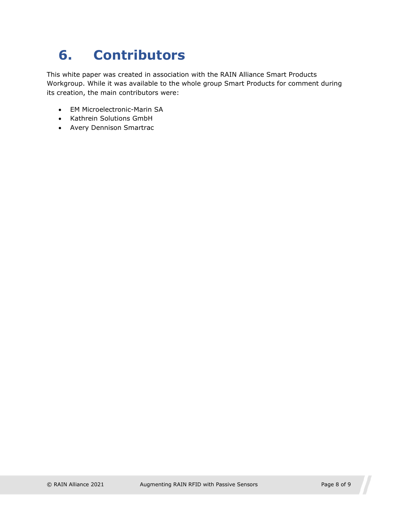# <span id="page-7-0"></span>**6. Contributors**

This white paper was created in association with the RAIN Alliance Smart Products Workgroup. While it was available to the whole group Smart Products for comment during its creation, the main contributors were:

- EM Microelectronic-Marin SA
- Kathrein Solutions GmbH
- Avery Dennison Smartrac